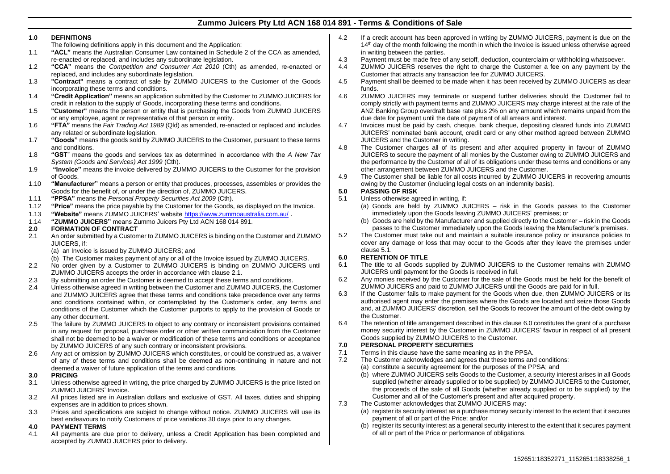# **Zummo Juicers Pty Ltd ACN 168 014 891 - Terms & Conditions of Sale**

#### **1.0 DEFINITIONS**

- The following definitions apply in this document and the Application:
- 1.1 **"ACL"** means the Australian Consumer Law contained in Schedule 2 of the CCA as amended, re-enacted or replaced, and includes any subordinate legislation.
- 1.2 **"CCA"** means the *Competition and Consumer Act 2010* (Cth) as amended, re-enacted or replaced, and includes any subordinate legislation.
- 1.3 **"Contract"** means a contract of sale by ZUMMO JUICERS to the Customer of the Goods incorporating these terms and conditions.
- 1.4 **"Credit Application"** means an application submitted by the Customer to ZUMMO JUICERS for credit in relation to the supply of Goods, incorporating these terms and conditions.
- 1.5 **"Customer"** means the person or entity that is purchasing the Goods from ZUMMO JUICERS or any employee, agent or representative of that person or entity.
- 1.6 **"FTA"** means the *Fair Trading Act 1989* (Qld) as amended, re-enacted or replaced and includes any related or subordinate legislation.
- 1.7 **"Goods"** means the goods sold by ZUMMO JUICERS to the Customer, pursuant to these terms and conditions.
- 1.8 **"GST**" means the goods and services tax as determined in accordance with the *A New Tax System (Goods and Services) Act 1999* (Cth).
- 1.9 **"Invoice"** means the invoice delivered by ZUMMO JUICERS to the Customer for the provision of Goods.
- 1.10 **"Manufacturer"** means a person or entity that produces, processes, assembles or provides the Goods for the benefit of, or under the direction of, ZUMMO JUICERS.
- 1.11 **"PPSA"** means the *Personal Property Securities Act 2009* (Cth).
- 1.12 **"Price"** means the price payable by the Customer for the Goods, as displayed on the Invoice.
- 1.13 **"Website"** means ZUMMO JUICERS' website <https://www.zummoaustralia.com.au/> .
- 1.14 **"ZUMMO JUICERS"** means Zummo Juicers Pty Ltd ACN 168 014 891.

## **2.0 FORMATION OF CONTRACT**

- <span id="page-0-0"></span>2.1 An order submitted by a Customer to ZUMMO JUICERS is binding on the Customer and ZUMMO JUICERS, if:
	- (a) an Invoice is issued by ZUMMO JUICERS; and
	- (b) The Customer makes payment of any or all of the Invoice issued by ZUMMO JUICERS.
- 2.2 No order given by a Customer to ZUMMO JUICERS is binding on ZUMMO JUICERS until ZUMMO JUICERS accepts the order in accordance with clause [2.1.](#page-0-0)
- 2.3 By submitting an order the Customer is deemed to accept these terms and conditions.
- 2.4 Unless otherwise agreed in writing between the Customer and ZUMMO JUICERS, the Customer and ZUMMO JUICERS agree that these terms and conditions take precedence over any terms and conditions contained within, or contemplated by the Customer's order, any terms and conditions of the Customer which the Customer purports to apply to the provision of Goods or any other document.
- 2.5 The failure by ZUMMO JUICERS to object to any contrary or inconsistent provisions contained in any request for proposal, purchase order or other written communication from the Customer shall not be deemed to be a waiver or modification of these terms and conditions or acceptance by ZUMMO JUICERS of any such contrary or inconsistent provisions.
- 2.6 Any act or omission by ZUMMO JUICERS which constitutes, or could be construed as, a waiver of any of these terms and conditions shall be deemed as non-continuing in nature and not deemed a waiver of future application of the terms and conditions.

#### **3.0 PRICING**

- 3.1 Unless otherwise agreed in writing, the price charged by ZUMMO JUICERS is the price listed on ZUMMO JUICERS' Invoice.
- 3.2 All prices listed are in Australian dollars and exclusive of GST. All taxes, duties and shipping expenses are in addition to prices shown.
- 3.3 Prices and specifications are subject to change without notice. ZUMMO JUICERS will use its best endeavours to notify Customers of price variations 30 days prior to any changes.

# **4.0 PAYMENT TERMS**

4.1 All payments are due prior to delivery, unless a Credit Application has been completed and accepted by ZUMMO JUICERS prior to delivery.

- 4.2 If a credit account has been approved in writing by ZUMMO JUICERS, payment is due on the 14<sup>th</sup> day of the month following the month in which the Invoice is issued unless otherwise agreed in writing between the parties.
- 4.3 Payment must be made free of any setoff, deduction, counterclaim or withholding whatsoever.<br>4.4 ZUMMO JUICERS reserves the right to charge the Customer a fee on any payment by th
- 4.4 ZUMMO JUICERS reserves the right to charge the Customer a fee on any payment by the Customer that attracts any transaction fee for ZUMMO JUICERS.
- 4.5 Payment shall be deemed to be made when it has been received by ZUMMO JUICERS as clear funds.
- 4.6 ZUMMO JUICERS may terminate or suspend further deliveries should the Customer fail to comply strictly with payment terms and ZUMMO JUICERS may charge interest at the rate of the ANZ Banking Group overdraft base rate plus 2% on any amount which remains unpaid from the due date for payment until the date of payment of all arrears and interest.
- 4.7 Invoices must be paid by cash, cheque, bank cheque, depositing cleared funds into ZUMMO JUICERS' nominated bank account, credit card or any other method agreed between ZUMMO JUICERS and the Customer in writing.
- 4.8 The Customer charges all of its present and after acquired property in favour of ZUMMO JUICERS to secure the payment of all monies by the Customer owing to ZUMMO JUICERS and the performance by the Customer of all of its obligations under these terms and conditions or any other arrangement between ZUMMO JUICERS and the Customer.
- 4.9 The Customer shall be liable for all costs incurred by ZUMMO JUICERS in recovering amounts owing by the Customer (including legal costs on an indemnity basis).

# **5.0 PASSING OF RISK**

- <span id="page-0-1"></span>Unless otherwise agreed in writing, if:
	- (a) Goods are held by ZUMMO JUICERS risk in the Goods passes to the Customer immediately upon the Goods leaving ZUMMO JUICERS' premises; or
	- (b) Goods are held by the Manufacturer and supplied directly to the Customer risk in the Goods passes to the Customer immediately upon the Goods leaving the Manufacturer's premises.
- 5.2 The Customer must take out and maintain a suitable insurance policy or insurance policies to cover any damage or loss that may occur to the Goods after they leave the premises under clause [5.1.](#page-0-1)

# <span id="page-0-2"></span>**6.0 RETENTION OF TITLE**

- 6.1 The title to all Goods supplied by ZUMMO JUICERS to the Customer remains with ZUMMO JUICERS until payment for the Goods is received in full.
- 6.2 Any monies received by the Customer for the sale of the Goods must be held for the benefit of ZUMMO JUICERS and paid to ZUMMO JUICERS until the Goods are paid for in full.
- 6.3 If the Customer fails to make payment for the Goods when due, then ZUMMO JUICERS or its authorised agent may enter the premises where the Goods are located and seize those Goods and, at ZUMMO JUICERS' discretion, sell the Goods to recover the amount of the debt owing by the Customer.
- 6.4 The retention of title arrangement described in this clause [6.0](#page-0-2) constitutes the grant of a purchase money security interest by the Customer in ZUMMO JUICERS' favour in respect of all present Goods supplied by ZUMMO JUICERS to the Customer.

# <span id="page-0-3"></span>**7.0 PERSONAL PROPERTY SECURITIES**

- 7.1 Terms in this clause have the same meaning as in the PPSA.
- 7.2 The Customer acknowledges and agrees that these terms and conditions:
	- (a) constitute a security agreement for the purposes of the PPSA; and
	- (b) where ZUMMO JUICERS sells Goods to the Customer, a security interest arises in all Goods supplied (whether already supplied or to be supplied) by ZUMMO JUICERS to the Customer, the proceeds of the sale of all Goods (whether already supplied or to be supplied) by the Customer and all of the Customer's present and after acquired property.
- 7.3 The Customer acknowledges that ZUMMO JUICERS may:
	- (a) register its security interest as a purchase money security interest to the extent that it secures payment of all or part of the Price; and/or
	- (b) register its security interest as a general security interest to the extent that it secures payment of all or part of the Price or performance of obligations.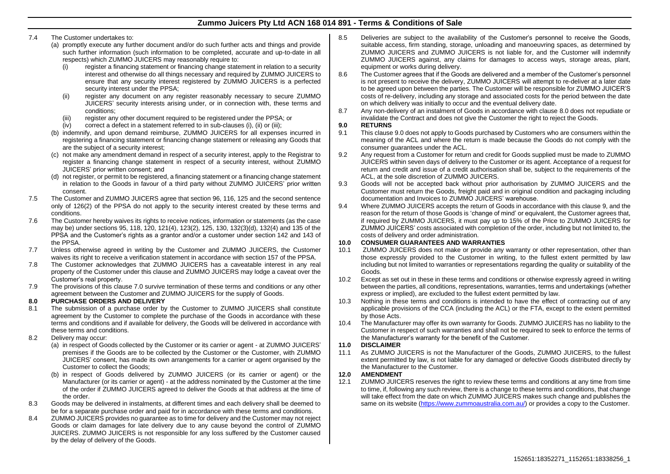# **Zummo Juicers Pty Ltd ACN 168 014 891 - Terms & Conditions of Sale**

## <span id="page-1-0"></span>7.4 The Customer undertakes to:

- (a) promptly execute any further document and/or do such further acts and things and provide such further information (such information to be completed, accurate and up-to-date in all respects) which ZUMMO JUICERS may reasonably require to:
	- (i) register a financing statement or financing change statement in relation to a security interest and otherwise do all things necessary and required by ZUMMO JUICERS to ensure that any security interest registered by ZUMMO JUICERS is a perfected security interest under the PPSA;
	- (ii) register any document on any register reasonably necessary to secure ZUMMO JUICERS' security interests arising under, or in connection with, these terms and conditions;
	- (iii) register any other document required to be registered under the PPSA; or
	- (iv) correct a defect in a statement referred to in sub-clauses [\(i\),](#page-1-0) [\(ii\)](#page-1-1) o[r \(iii\);](#page-1-2)
- <span id="page-1-2"></span><span id="page-1-1"></span>(b) indemnify, and upon demand reimburse, ZUMMO JUICERS for all expenses incurred in registering a financing statement or financing change statement or releasing any Goods that are the subject of a security interest;
- (c) not make any amendment demand in respect of a security interest, apply to the Registrar to register a financing change statement in respect of a security interest, without ZUMMO JUICERS' prior written consent; and
- (d) not register, or permit to be registered, a financing statement or a financing change statement in relation to the Goods in favour of a third party without ZUMMO JUICERS' prior written consent.
- 7.5 The Customer and ZUMMO JUICERS agree that section 96, 116, 125 and the second sentence only of 126(2) of the PPSA do not apply to the security interest created by these terms and conditions.
- 7.6 The Customer hereby waives its rights to receive notices, information or statements (as the case may be) under sections 95, 118, 120, 121(4), 123(2), 125, 130, 132(3)(d), 132(4) and 135 of the PPSA and the Customer's rights as a grantor and/or a customer under section 142 and 143 of the PPSA.
- 7.7 Unless otherwise agreed in writing by the Customer and ZUMMO JUICERS, the Customer waives its right to receive a verification statement in accordance with section 157 of the PPSA.
- 7.8 The Customer acknowledges that ZUMMO JUICERS has a caveatable interest in any real property of the Customer under this clause and ZUMMO JUICERS may lodge a caveat over the Customer's real property.
- 7.9 The provisions of this clause [7.0](#page-0-3) survive termination of these terms and conditions or any other agreement between the Customer and ZUMMO JUICERS for the supply of Goods.

# <span id="page-1-3"></span>**8.0 PURCHASE ORDERS AND DELIVERY**

- 8.1 The submission of a purchase order by the Customer to ZUMMO JUICERS shall constitute agreement by the Customer to complete the purchase of the Goods in accordance with these terms and conditions and if available for delivery, the Goods will be delivered in accordance with these terms and conditions.
- 8.2 Delivery may occur:
	- (a) in respect of Goods collected by the Customer or its carrier or agent at ZUMMO JUICERS' premises if the Goods are to be collected by the Customer or the Customer, with ZUMMO JUICERS' consent, has made its own arrangements for a carrier or agent organised by the Customer to collect the Goods;
	- (b) in respect of Goods delivered by ZUMMO JUICERS (or its carrier or agent) or the Manufacturer (or its carrier or agent) - at the address nominated by the Customer at the time of the order if ZUMMO JUICERS agreed to deliver the Goods at that address at the time of the order.
- 8.3 Goods may be delivered in instalments, at different times and each delivery shall be deemed to be for a separate purchase order and paid for in accordance with these terms and conditions.
- 8.4 ZUMMO JUICERS provides no guarantee as to time for delivery and the Customer may not reject Goods or claim damages for late delivery due to any cause beyond the control of ZUMMO JUICERS. ZUMMO JUICERS is not responsible for any loss suffered by the Customer caused by the delay of delivery of the Goods.
- 8.5 Deliveries are subject to the availability of the Customer's personnel to receive the Goods, suitable access, firm standing, storage, unloading and manoeuvring spaces, as determined by ZUMMO JUICERS and ZUMMO JUICERS is not liable for, and the Customer will indemnify ZUMMO JUICERS against, any claims for damages to access ways, storage areas, plant, equipment or works during delivery.
- 8.6 The Customer agrees that if the Goods are delivered and a member of the Customer's personnel is not present to receive the delivery, ZUMMO JUICERS will attempt to re-deliver at a later date to be agreed upon between the parties. The Customer will be responsible for ZUMMO JUICER'S costs of re-delivery, including any storage and associated costs for the period between the date on which delivery was initially to occur and the eventual delivery date.
- 8.7 Any non-delivery of an instalment of Goods in accordance with clause [8.0](#page-1-3) does not repudiate or invalidate the Contract and does not give the Customer the right to reject the Goods.

## <span id="page-1-4"></span>**9.0 RETURNS**

- 9.1 This clause [9.0](#page-1-4) does not apply to Goods purchased by Customers who are consumers within the meaning of the ACL and where the return is made because the Goods do not comply with the consumer guarantees under the ACL.
- 9.2 Any request from a Customer for return and credit for Goods supplied must be made to ZUMMO JUICERS within seven days of delivery to the Customer or its agent. Acceptance of a request for return and credit and issue of a credit authorisation shall be, subject to the requirements of the ACL, at the sole discretion of ZUMMO JUICERS.
- 9.3 Goods will not be accepted back without prior authorisation by ZUMMO JUICERS and the Customer must return the Goods, freight paid and in original condition and packaging including documentation and Invoices to ZUMMO JUICERS' warehouse.
- 9.4 Where ZUMMO JUICERS accepts the return of Goods in accordance with this clause 9, and the reason for the return of those Goods is 'change of mind' or equivalent, the Customer agrees that, if required by ZUMMO JUICERS, it must pay up to 15% of the Price to ZUMMO JUICERS for ZUMMO JUICERS' costs associated with completion of the order, including but not limited to, the costs of delivery and order administration.

# **10.0 CONSUMER GUARANTEES AND WARRANTIES**

- 10.1 ZUMMO JUICERS does not make or provide any warranty or other representation, other than those expressly provided to the Customer in writing, to the fullest extent permitted by law including but not limited to warranties or representations regarding the quality or suitability of the Goods.
- 10.2 Except as set out in these in these terms and conditions or otherwise expressly agreed in writing between the parties, all conditions, representations, warranties, terms and undertakings (whether express or implied), are excluded to the fullest extent permitted by law.
- 10.3 Nothing in these terms and conditions is intended to have the effect of contracting out of any applicable provisions of the CCA (including the ACL) or the FTA, except to the extent permitted by those Acts.
- 10.4 The Manufacturer may offer its own warranty for Goods. ZUMMO JUICERS has no liability to the Customer in respect of such warranties and shall not be required to seek to enforce the terms of the Manufacturer's warranty for the benefit of the Customer.

### **11.0 DISCLAIMER**

11.1 As ZUMMO JUICERS is not the Manufacturer of the Goods, ZUMMO JUICERS, to the fullest extent permitted by law, is not liable for any damaged or defective Goods distributed directly by the Manufacturer to the Customer.

# **12.0 AMENDMENT**

12.1 ZUMMO JUICERS reserves the right to review these terms and conditions at any time from time to time, if, following any such review, there is a change to these terms and conditions, that change will take effect from the date on which ZUMMO JUICERS makes such change and publishes the same on its website [\(https://www.zummoaustralia.com.au/\)](https://www.zummoaustralia.com.au/) or provides a copy to the Customer.